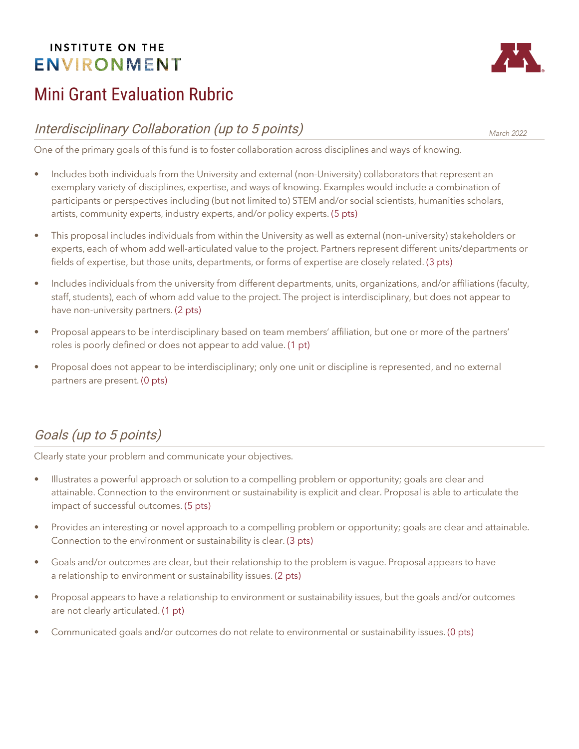## **INSTITUTE ON THE ENVIRONMENT**

# Mini Grant Evaluation Rubric

## Interdisciplinary Collaboration (up to 5 points)

One of the primary goals of this fund is to foster collaboration across disciplines and ways of knowing.

- Includes both individuals from the University and external (non-University) collaborators that represent an exemplary variety of disciplines, expertise, and ways of knowing. Examples would include a combination of participants or perspectives including (but not limited to) STEM and/or social scientists, humanities scholars, artists, community experts, industry experts, and/or policy experts. (5 pts)
- This proposal includes individuals from within the University as well as external (non-university) stakeholders or experts, each of whom add well-articulated value to the project. Partners represent different units/departments or fields of expertise, but those units, departments, or forms of expertise are closely related. (3 pts)
- Includes individuals from the university from different departments, units, organizations, and/or affiliations (faculty, staff, students), each of whom add value to the project. The project is interdisciplinary, but does not appear to have non-university partners. (2 pts)
- Proposal appears to be interdisciplinary based on team members' affiliation, but one or more of the partners' roles is poorly defined or does not appear to add value. (1 pt)
- Proposal does not appear to be interdisciplinary; only one unit or discipline is represented, and no external partners are present. (0 pts)

# Goals (up to 5 points)

Clearly state your problem and communicate your objectives.

- Illustrates a powerful approach or solution to a compelling problem or opportunity; goals are clear and attainable. Connection to the environment or sustainability is explicit and clear. Proposal is able to articulate the impact of successful outcomes. (5 pts)
- Provides an interesting or novel approach to a compelling problem or opportunity; goals are clear and attainable. Connection to the environment or sustainability is clear. (3 pts)
- Goals and/or outcomes are clear, but their relationship to the problem is vague. Proposal appears to have a relationship to environment or sustainability issues. (2 pts)
- Proposal appears to have a relationship to environment or sustainability issues, but the goals and/or outcomes are not clearly articulated. (1 pt)
- Communicated goals and/or outcomes do not relate to environmental or sustainability issues. (0 pts)



March 2022